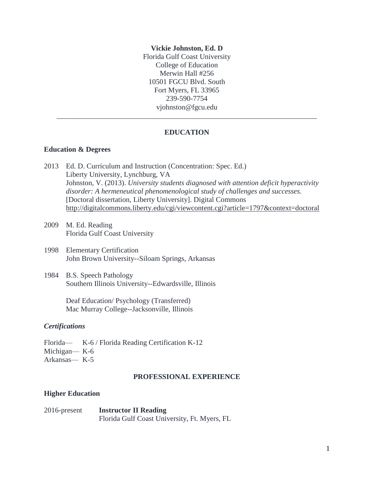#### **Vickie Johnston, Ed. D**

Florida Gulf Coast University College of Education Merwin Hall #256 10501 FGCU Blvd. South Fort Myers, FL 33965 239-590-7754 [vjohnston@fgcu.edu](mailto:cmartelli@fgcu.edu)

## **EDUCATION**

\_\_\_\_\_\_\_\_\_\_\_\_\_\_\_\_\_\_\_\_\_\_\_\_\_\_\_\_\_\_\_\_\_\_\_\_\_\_\_\_\_\_\_\_\_\_\_\_\_\_\_\_\_\_\_\_\_\_\_\_\_\_\_\_\_\_\_\_\_\_\_

#### **Education & Degrees**

- 2013 Ed. D. Curriculum and Instruction (Concentration: Spec. Ed.) Liberty University, Lynchburg, VA Johnston, V. (2013). *University students diagnosed with attention deficit hyperactivity disorder: A hermeneutical phenomenological study of challenges and successes.*  [Doctoral dissertation, Liberty University]. Digital Commons <http://digitalcommons.liberty.edu/cgi/viewcontent.cgi?article=1797&context=doctoral>
- 2009 M. Ed. Reading Florida Gulf Coast University
- 1998 Elementary Certification John Brown University--Siloam Springs, Arkansas
- 1984 B.S. Speech Pathology Southern Illinois University--Edwardsville, Illinois

Deaf Education/ Psychology (Transferred) Mac Murray College--Jacksonville, Illinois

## *Certifications*

Florida— K-6 / Florida Reading Certification K-12 Michigan— K-6 Arkansas— K-5

## **PROFESSIONAL EXPERIENCE**

#### **Higher Education**

| $2016$ -present | <b>Instructor II Reading</b>                 |
|-----------------|----------------------------------------------|
|                 | Florida Gulf Coast University, Ft. Myers, FL |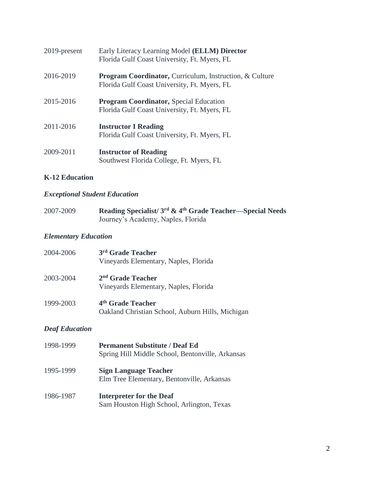| 2019-present | Early Literacy Learning Model ( <b>ELLM</b> ) Director<br>Florida Gulf Coast University, Ft. Myers, FL             |
|--------------|--------------------------------------------------------------------------------------------------------------------|
| 2016-2019    | <b>Program Coordinator, Curriculum, Instruction, &amp; Culture</b><br>Florida Gulf Coast University, Ft. Myers, FL |
| 2015-2016    | <b>Program Coordinator, Special Education</b><br>Florida Gulf Coast University, Ft. Myers, FL                      |
| 2011-2016    | <b>Instructor I Reading</b><br>Florida Gulf Coast University, Ft. Myers, FL                                        |
| 2009-2011    | <b>Instructor of Reading</b><br>Southwest Florida College, Ft. Myers, FL                                           |

## **K-12 Education**

# *Exceptional Student Education*

| 2007-2009 | Reading Specialist/3 <sup>rd</sup> & 4 <sup>th</sup> Grade Teacher—Special Needs |
|-----------|----------------------------------------------------------------------------------|
|           | Journey's Academy, Naples, Florida                                               |

# *Elementary Education*

| 2004-2006 | 3rd Grade Teacher<br>Vineyards Elementary, Naples, Florida                        |
|-----------|-----------------------------------------------------------------------------------|
| 2003-2004 | $2nd$ Grade Teacher<br>Vineyards Elementary, Naples, Florida                      |
| 1999-2003 | 4 <sup>th</sup> Grade Teacher<br>Oakland Christian School, Auburn Hills, Michigan |

# *Deaf Education*

| 1998-1999 | <b>Permanent Substitute / Deaf Ed</b><br>Spring Hill Middle School, Bentonville, Arkansas |
|-----------|-------------------------------------------------------------------------------------------|
| 1995-1999 | <b>Sign Language Teacher</b><br>Elm Tree Elementary, Bentonville, Arkansas                |
| 1986-1987 | <b>Interpreter for the Deaf</b><br>Sam Houston High School, Arlington, Texas              |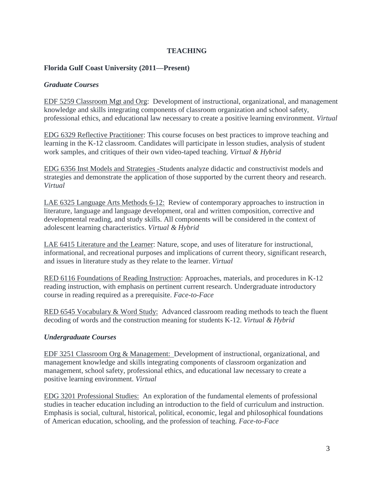## **TEACHING**

## **Florida Gulf Coast University (2011—Present)**

## *Graduate Courses*

EDF 5259 Classroom Mgt and Org: Development of instructional, organizational, and management knowledge and skills integrating components of classroom organization and school safety, professional ethics, and educational law necessary to create a positive learning environment. *Virtual*

EDG 6329 Reflective Practitioner: This course focuses on best practices to improve teaching and learning in the K-12 classroom. Candidates will participate in lesson studies, analysis of student work samples, and critiques of their own video-taped teaching. *Virtual & Hybrid*

EDG 6356 Inst Models and Strategies -Students analyze didactic and constructivist models and strategies and demonstrate the application of those supported by the current theory and research. *Virtual*

LAE 6325 Language Arts Methods 6-12: Review of contemporary approaches to instruction in literature, language and language development, oral and written composition, corrective and developmental reading, and study skills. All components will be considered in the context of adolescent learning characteristics. *Virtual & Hybrid*

LAE 6415 Literature and the Learner: Nature, scope, and uses of literature for instructional, informational, and recreational purposes and implications of current theory, significant research, and issues in literature study as they relate to the learner. *Virtual* 

RED 6116 Foundations of Reading Instruction: Approaches, materials, and procedures in K-12 reading instruction, with emphasis on pertinent current research. Undergraduate introductory course in reading required as a prerequisite. *Face-to-Face*

RED 6545 Vocabulary & Word Study: Advanced classroom reading methods to teach the fluent decoding of words and the construction meaning for students K-12. *Virtual & Hybrid*

## *Undergraduate Courses*

EDF 3251 Classroom Org & Management: Development of instructional, organizational, and management knowledge and skills integrating components of classroom organization and management, school safety, professional ethics, and educational law necessary to create a positive learning environment. *Virtual* 

EDG 3201 Professional Studies: An exploration of the fundamental elements of professional studies in teacher education including an introduction to the field of curriculum and instruction. Emphasis is social, cultural, historical, political, economic, legal and philosophical foundations of American education, schooling, and the profession of teaching. *Face-to-Face*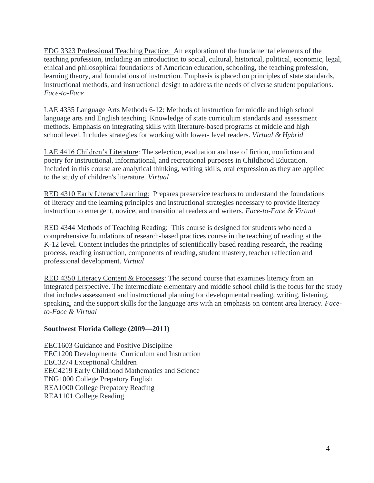EDG 3323 Professional Teaching Practice: An exploration of the fundamental elements of the teaching profession, including an introduction to social, cultural, historical, political, economic, legal, ethical and philosophical foundations of American education, schooling, the teaching profession, learning theory, and foundations of instruction. Emphasis is placed on principles of state standards, instructional methods, and instructional design to address the needs of diverse student populations. *Face-to-Face*

LAE 4335 Language Arts Methods 6-12: Methods of instruction for middle and high school language arts and English teaching. Knowledge of state curriculum standards and assessment methods. Emphasis on integrating skills with literature-based programs at middle and high school level. Includes strategies for working with lower- level readers. *Virtual & Hybrid*

LAE 4416 Children's Literature: The selection, evaluation and use of fiction, nonfiction and poetry for instructional, informational, and recreational purposes in Childhood Education. Included in this course are analytical thinking, writing skills, oral expression as they are applied to the study of children's literature. *Virtual* 

RED 4310 Early Literacy Learning: Prepares preservice teachers to understand the foundations of literacy and the learning principles and instructional strategies necessary to provide literacy instruction to emergent, novice, and transitional readers and writers. *Face-to-Face & Virtual* 

RED 4344 Methods of Teaching Reading: This course is designed for students who need a comprehensive foundations of research-based practices course in the teaching of reading at the K-12 level. Content includes the principles of scientifically based reading research, the reading process, reading instruction, components of reading, student mastery, teacher reflection and professional development. *Virtual* 

RED 4350 Literacy Content & Processes: The second course that examines literacy from an integrated perspective. The intermediate elementary and middle school child is the focus for the study that includes assessment and instructional planning for developmental reading, writing, listening, speaking, and the support skills for the language arts with an emphasis on content area literacy. *Faceto-Face & Virtual* 

## **Southwest Florida College (2009—2011)**

EEC1603 Guidance and Positive Discipline EEC1200 Developmental Curriculum and Instruction EEC3274 Exceptional Children EEC4219 Early Childhood Mathematics and Science ENG1000 College Prepatory English REA1000 College Prepatory Reading REA1101 College Reading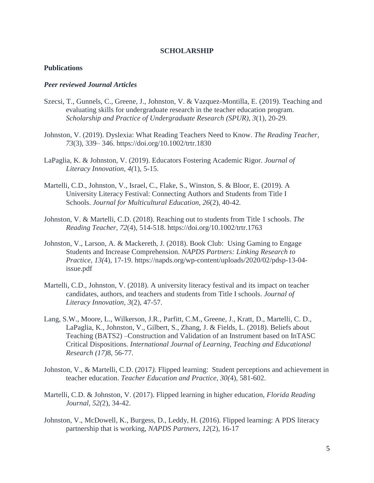#### **SCHOLARSHIP**

### **Publications**

### *Peer reviewed Journal Articles*

- Szecsi, T., Gunnels, C., Greene, J., Johnston, V. & Vazquez-Montilla, E. (2019). Teaching and evaluating skills for undergraduate research in the teacher education program. *Scholarship and Practice of Undergraduate Research (SPUR), 3*(1), 20-29.
- Johnston, V. (2019). Dyslexia: What Reading Teachers Need to Know. *The Reading Teacher, 73*(3), 339– 346. https://doi.org/10.1002/trtr.1830
- LaPaglia, K. & Johnston, V. (2019). Educators Fostering Academic Rigor. *Journal of Literacy Innovation, 4(*1), 5-15.
- Martelli, C.D., Johnston, V., Israel, C., Flake, S., Winston, S. & Bloor, E. (2019). A University Literacy Festival: Connecting Authors and Students from Title I Schools. *Journal for Multicultural Education, 26*(2), 40-42*.*
- Johnston, V. & Martelli, C.D. (2018). Reaching out to students from Title 1 schools. *The Reading Teacher, 72*(4), 514-518. <https://doi.org/10.1002/trtr.1763>
- Johnston, V., Larson, A. & Mackereth, J. (2018). Book Club: Using Gaming to Engage Students and Increase Comprehension. *NAPDS Partners: Linking Research to Practice*, *13(*4), 17-19. https://napds.org/wp-content/uploads/2020/02/pdsp-13-04 issue.pdf
- Martelli, C.D., Johnston, V. (2018). A university literacy festival and its impact on teacher candidates, authors, and teachers and students from Title I schools. *Journal of Literacy Innovation, 3*(2), 47-57.
- Lang, S.W., Moore, L., Wilkerson, J.R., Parfitt, C.M., Greene, J., Kratt, D., Martelli, C. D., LaPaglia, K., Johnston, V., Gilbert, S., Zhang, J. & Fields, L. (2018). Beliefs about Teaching (BATS2) –Construction and Validation of an Instrument based on InTASC Critical Dispositions*. International Journal of Learning, Teaching and Educational Research (17)*8, 56-77.
- Johnston, V., & Martelli, C.D. (2017*).* Flipped learning: Student perceptions and achievement in teacher education. *Teacher Education and Practice, 30(*4), 581-602.
- Martelli, C.D. & Johnston, V. (2017). Flipped learning in higher education, *Florida Reading Journal, 52(*2), 34-42.
- Johnston, V., McDowell, K., Burgess, D., Leddy, H. (2016). Flipped learning: A PDS literacy partnership that is working, *NAPDS Partners, 12*(2), 16-17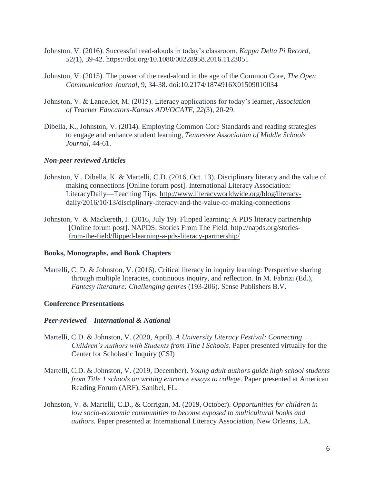- Johnston, V. (2016). Successful read-alouds in today's classroom, *Kappa Delta Pi Record, 52(*1), 39-42. https://doi.org/10.1080/00228958.2016.1123051
- Johnston, V. (2015). The power of the read-aloud in the age of the Common Core*, The Open Communication Journal,* 9, 34-38. doi:10.2174/1874916X01509010034
- Johnston, V. & Lancellot, M. (2015). Literacy applications for today's learner, *Association of Teacher Educators-Kansas ADVOCATE, 22(*3), 20-29.
- Dibella, K., Johnston, V. (2014). Employing Common Core Standards and reading strategies to engage and enhance student learning*, Tennessee Association of Middle Schools Journal,* 44*-*61.

### *Non-peer reviewed Articles*

- Johnston, V., Dibella, K. & Martelli, C.D. (2016, Oct. 13). Disciplinary literacy and the value of making connections [Online forum post]. International Literacy Association: LiteracyDaily—Teaching Tips. [http://www.literacyworldwide.org/blog/literacy](http://www.literacyworldwide.org/blog/literacy-daily/2016/10/13/disciplinary-literacy-and-the-value-of-making-connections)[daily/2016/10/13/disciplinary-literacy-and-the-value-of-making-connections](http://www.literacyworldwide.org/blog/literacy-daily/2016/10/13/disciplinary-literacy-and-the-value-of-making-connections)
- Johnston, V. & Mackereth, J. (2016, July 19). Flipped learning: A PDS literacy partnership [Online forum post]. NAPDS: Stories From The Field. [http://napds.org/stories](http://napds.org/stories-from-the-field/flipped-learning-a-pds-literacy-partnership/)[from-the-field/flipped-learning-a-pds-literacy-partnership/](http://napds.org/stories-from-the-field/flipped-learning-a-pds-literacy-partnership/)

#### **Books, Monographs, and Book Chapters**

Martelli, C. D. & Johnston, V. (2016). Critical literacy in inquiry learning: Perspective sharing through multiple literacies, continuous inquiry, and reflection. In M. Fabrizi (Ed.), *Fantasy literature: Challenging genres* (193-206). Sense Publishers B.V.

## **Conference Presentations**

#### *Peer-reviewed—International & National*

- Martelli, C.D. & Johnston, V. (2020, April). *A University Literacy Festival: Connecting Children's Authors with Students from Title I Schools*. Paper presented virtually for the Center for Scholastic Inquiry (CSI)
- Martelli, C.D. & Johnston, V. (2019, December). *Young adult authors guide high school students from Title 1 schools on writing entrance essays to college*. Paper presented at American Reading Forum (ARF), Sanibel, FL.
- Johnston, V. & Martelli, C.D., & Corrigan, M. (2019, October). *Opportunities for children in low socio-economic communities to become exposed to multicultural books and authors.* Paper presented at International Literacy Association, New Orleans, LA.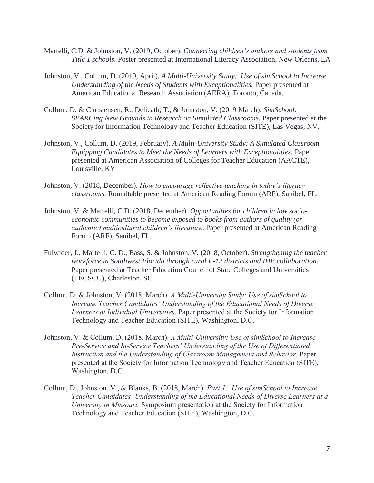- Martelli, C.D. & Johnston, V. (2019, October). *Connecting children's authors and students from Title 1 schools.* Poster presented at International Literacy Association, New Orleans, LA
- Johnston, V., Collum, D. (2019, April). *A Multi-University Study: Use of simSchool to Increase Understanding of the Needs of Students with Exceptionalities.* Paper presented at American Educational Research Association (AERA), Toronto, Canada.
- Collum, D. & Christensen, R., Delicath, T., & Johnston, V. (2019 March). *SimSchool: SPARCing New Grounds in Research on Simulated Classrooms*. Paper presented at the Society for Information Technology and Teacher Education (SITE), Las Vegas, NV.
- Johnston, V., Collum, D. (2019, February). *A Multi-University Study: A Simulated Classroom Equipping Candidates to Meet the Needs of Learners with Exceptionalities.* Paper presented at American Association of Colleges for Teacher Education (AACTE), Louisville, KY
- Johnston, V. (2018, December). *How to encourage reflective teaching in today's literacy classrooms.* Roundtable presented at American Reading Forum (ARF), Sanibel, FL.
- Johnston, V. & Martelli, C.D. (2018, December). *Opportunities for children in low socioeconomic communities to become exposed to books from authors of quality (or authentic) multicultural children's literature*. Paper presented at American Reading Forum (ARF), Sanibel, FL.
- Fulwider, J., Martelli, C. D., Bass, S. & Johnston, V. (2018, October). *Strengthening the teacher workforce in Southwest Florida through rural P-12 districts and IHE collaboration.* Paper presented at [Teacher Education Council of State Colleges and Universities](https://www.google.com/url?sa=t&rct=j&q=&esrc=s&source=web&cd=1&ved=2ahUKEwjZpvjas5PdAhUn0FkKHcWdDG4QFjAAegQIBhAC&url=https%3A%2F%2Fwww.tecscu.org%2F&usg=AOvVaw2Xy3wEIQjcIz0vQk34N7Cy) (TECSCU), Charleston, SC.
- Collum, D. & Johnston, V. (2018, March). *A Multi-University Study: Use of simSchool to Increase Teacher Candidates' Understanding of the Educational Needs of Diverse Learners at Individual Universities*. Paper presented at the Society for Information Technology and Teacher Education (SITE), Washington, D.C.
- Johnston, V. & Collum, D. (2018, March). *A Multi-University: Use of simSchool to Increase Pre-Service and In-Service Teachers' Understanding of the Use of Differentiated Instruction and the Understanding of Classroom Management and Behavior.* Paper presented at the Society for Information Technology and Teacher Education (SITE), Washington, D.C.
- Collum, D., Johnston, V., & Blanks, B. (2018, March). *Part 1: Use of simSchool to Increase Teacher Candidates' Understanding of the Educational Needs of Diverse Learners at a University in Missouri.* Symposium presentation at the Society for Information Technology and Teacher Education (SITE), Washington, D.C.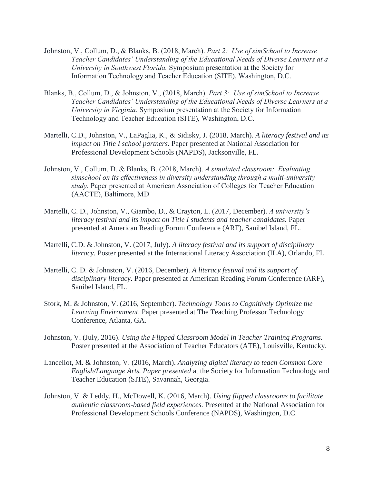- Johnston, V., Collum, D., & Blanks, B. (2018, March). *Part 2: Use of simSchool to Increase Teacher Candidates' Understanding of the Educational Needs of Diverse Learners at a University in Southwest Florida.* Symposium presentation at the Society for Information Technology and Teacher Education (SITE), Washington, D.C.
- Blanks, B., Collum, D., & Johnston, V., (2018, March). *Part 3: Use of simSchool to Increase Teacher Candidates' Understanding of the Educational Needs of Diverse Learners at a University in Virginia.* Symposium presentation at the Society for Information Technology and Teacher Education (SITE), Washington, D.C.
- Martelli, C.D., Johnston, V., LaPaglia, K., & Sidisky, J. (2018, March). *A literacy festival and its impact on Title I school partners*. Paper presented at National Association for Professional Development Schools (NAPDS), Jacksonville, FL.
- Johnston, V., Collum, D. & Blanks, B. (2018, March). *A simulated classroom: Evaluating simschool on its effectiveness in diversity understanding through a multi-university study.* Paper presented at American Association of Colleges for Teacher Education (AACTE), Baltimore, MD
- Martelli, C. D., Johnston, V., Giambo, D., & Crayton, L. (2017, December). *A university's literacy festival and its impact on Title I students and teacher candidates.* Paper presented at American Reading Forum Conference (ARF), Sanibel Island, FL.
- Martelli, C.D. & Johnston, V. (2017, July). *A literacy festival and its support of disciplinary literacy.* Poster presented at the International Literacy Association (ILA), Orlando, FL
- Martelli, C. D. & Johnston, V. (2016, December). *A literacy festival and its support of disciplinary literacy*. Paper presented at American Reading Forum Conference (ARF), Sanibel Island, FL.
- Stork, M. & Johnston, V. (2016, September). *Technology Tools to Cognitively Optimize the Learning Environment*. Paper presented at The Teaching Professor Technology Conference, Atlanta, GA.
- Johnston, V. (July, 2016). *Using the Flipped Classroom Model in Teacher Training Programs.*  Poster presented at the Association of Teacher Educators (ATE), Louisville, Kentucky.
- Lancellot, M. & Johnston, V. (2016, March). *Analyzing digital literacy to teach Common Core English/Language Arts. Paper presented* at the Society for Information Technology and Teacher Education (SITE), Savannah, Georgia.
- Johnston, V. & Leddy, H., McDowell, K. (2016, March). *Using flipped classrooms to facilitate authentic classroom-based field experiences.* Presented at the National Association for Professional Development Schools Conference (NAPDS), Washington, D.C.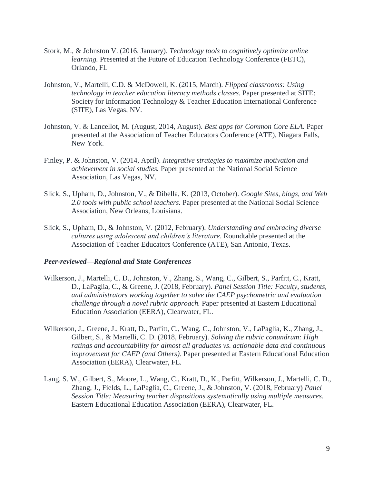- Stork, M., & Johnston V. (2016, January). *Technology tools to cognitively optimize online learning.* Presented at the Future of Education Technology Conference (FETC), Orlando, FL
- Johnston, V., Martelli, C.D. & McDowell, K. (2015, March). *Flipped classrooms: Using technology in teacher education literacy methods classes.* Paper presented at SITE: Society for Information Technology & Teacher Education International Conference (SITE), Las Vegas, NV.
- Johnston, V. & Lancellot, M. (August, 2014, August). *Best apps for Common Core ELA.* Paper presented at the Association of Teacher Educators Conference (ATE), Niagara Falls, New York.
- Finley, P. & Johnston, V. (2014, April). *Integrative strategies to maximize motivation and achievement in social studies.* Paper presented at the National Social Science Association, Las Vegas, NV.
- Slick, S., Upham, D., Johnston, V., & Dibella, K. (2013, October). *Google Sites, blogs, and Web 2.0 tools with public school teachers.* Paper presented at the National Social Science Association, New Orleans, Louisiana.
- Slick, S., Upham, D., & Johnston, V. (2012, February). *Understanding and embracing diverse cultures using adolescent and children's literature*. Roundtable presented at the Association of Teacher Educators Conference (ATE), San Antonio, Texas.

#### *Peer-reviewed—Regional and State Conferences*

- Wilkerson, J., Martelli, C. D., Johnston, V., Zhang, S., Wang, C., Gilbert, S., Parfitt, C., Kratt, D., LaPaglia, C., & Greene, J. (2018, February). *Panel Session Title: Faculty, students, and administrators working together to solve the CAEP psychometric and evaluation challenge through a novel rubric approach.* Paper presented at Eastern Educational Education Association (EERA), Clearwater, FL.
- Wilkerson, J., Greene, J., Kratt, D., Parfitt, C., Wang, C., Johnston, V., LaPaglia, K., Zhang, J., Gilbert, S., & Martelli, C. D. (2018, February). *Solving the rubric conundrum: High ratings and accountability for almost all graduates vs. actionable data and continuous improvement for CAEP (and Others).* Paper presented at Eastern Educational Education Association (EERA), Clearwater, FL.
- Lang, S. W., Gilbert, S., Moore, L., Wang, C., Kratt, D., K., Parfitt, Wilkerson, J., Martelli, C. D., Zhang, J., Fields, L., LaPaglia, C., Greene, J., & Johnston, V. (2018, February) *Panel Session Title: Measuring teacher dispositions systematically using multiple measures.*  Eastern Educational Education Association (EERA), Clearwater, FL.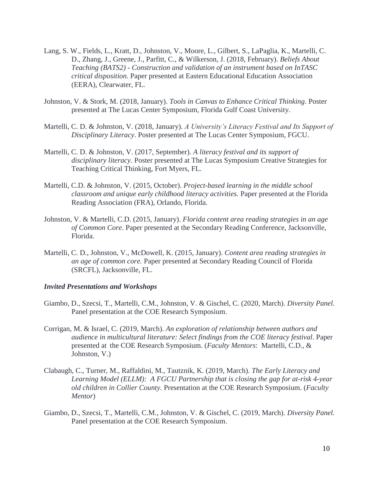- Lang, S. W., Fields, L., Kratt, D., Johnston, V., Moore, L., Gilbert, S., LaPaglia, K., Martelli, C. D., Zhang, J., Greene, J., Parfitt, C., & Wilkerson, J. (2018, February). *Beliefs About Teaching (BATS2) - Construction and validation of an instrument based on InTASC critical disposition.* Paper presented at Eastern Educational Education Association (EERA), Clearwater, FL.
- Johnston, V. & Stork, M. (2018, January). *Tools in Canvas to Enhance Critical Thinking*. Poster presented at The Lucas Center Symposium, Florida Gulf Coast University.
- Martelli, C. D. & Johnston, V. (2018, January). *A University's Literacy Festival and Its Support of Disciplinary Literacy*. Poster presented at The Lucas Center Symposium, FGCU.
- Martelli, C. D. & Johnston, V. (2017, September). *A literacy festival and its support of disciplinary literacy.* Poster presented at The Lucas Symposium Creative Strategies for Teaching Critical Thinking, Fort Myers, FL.
- Martelli, C.D. & Johnston, V. (2015, October). *Project-based learning in the middle school classroom and unique early childhood literacy activities.* Paper presented at the Florida Reading Association (FRA), Orlando, Florida.
- Johnston, V. & Martelli, C.D. (2015, January). *Florida content area reading strategies in an age of Common Core*. Paper presented at the Secondary Reading Conference, Jacksonville, Florida.
- Martelli, C. D., Johnston, V., McDowell, K. (2015, January). *Content area reading strategies in an age of common core.* Paper presented at Secondary Reading Council of Florida (SRCFL), Jacksonville, FL.

#### *Invited Presentations and Workshops*

- Giambo, D., Szecsi, T., Martelli, C.M., Johnston, V. & Gischel, C. (2020, March). *Diversity Panel.*  Panel presentation at the COE Research Symposium.
- Corrigan, M. & Israel, C. (2019, March). *An exploration of relationship between authors and audience in multicultural literature: Select findings from the COE literacy festival*. Paper presented at the COE Research Symposium. (*Faculty Mentors*: Martelli, C.D., & Johnston, V.)
- Clabaugh, C., Turner, M., Raffaldini, M., Tautznik, K. (2019, March). *The Early Literacy and Learning Model (ELLM): A FGCU Partnership that is closing the gap for at-risk 4-year old children in Collier County.* Presentation at the COE Research Symposium. (*Faculty Mentor*)
- Giambo, D., Szecsi, T., Martelli, C.M., Johnston, V. & Gischel, C. (2019, March). *Diversity Panel.*  Panel presentation at the COE Research Symposium.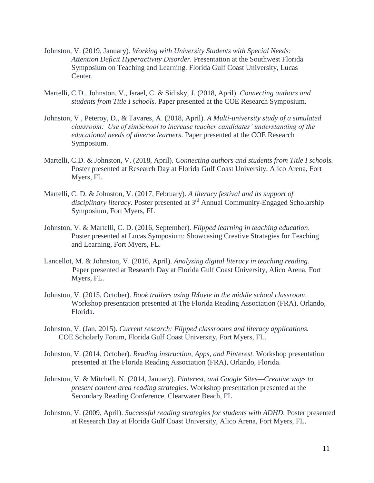- Johnston, V. (2019, January). *Working with University Students with Special Needs: Attention Deficit Hyperactivity Disorder.* Presentation at the Southwest Florida Symposium on Teaching and Learning. Florida Gulf Coast University, Lucas Center.
- Martelli, C.D., Johnston, V., Israel, C. & Sidisky, J. (2018, April). *Connecting authors and students from Title I schools.* Paper presented at the COE Research Symposium.
- Johnston, V., Peteroy, D., & Tavares, A. (2018, April). *A Multi-university study of a simulated classroom: Use of simSchool to increase teacher candidates' understanding of the educational needs of diverse learners*. Paper presented at the COE Research Symposium.
- Martelli, C.D. & Johnston, V. (2018, April). *Connecting authors and students from Title I schools.* Poster presented at Research Day at Florida Gulf Coast University, Alico Arena, Fort Myers, FL
- Martelli, C. D. & Johnston, V. (2017, February). *A literacy festival and its support of disciplinary literacy*. Poster presented at 3 rd Annual Community-Engaged Scholarship Symposium, Fort Myers, FL
- Johnston, V. & Martelli, C. D. (2016, September). *Flipped learning in teaching education*. Poster presented at Lucas Symposium: Showcasing Creative Strategies for Teaching and Learning, Fort Myers, FL.
- Lancellot, M. & Johnston, V. (2016, April). *Analyzing digital literacy in teaching reading*. Paper presented at Research Day at Florida Gulf Coast University, Alico Arena, Fort Myers, FL.
- Johnston, V. (2015, October). *Book trailers using IMovie in the middle school classroom*. Workshop presentation presented at The Florida Reading Association (FRA), Orlando, Florida.
- Johnston, V. (Jan, 2015). *Current research: Flipped classrooms and literacy applications.*  COE Scholarly Forum, Florida Gulf Coast University, Fort Myers, FL.
- Johnston, V. (2014, October). *Reading instruction, Apps, and Pinterest.* Workshop presentation presented at The Florida Reading Association (FRA), Orlando, Florida.
- Johnston, V. & Mitchell, N. (2014, January). *Pinterest, and Google Sites—Creative ways to present content area reading strategies.* Workshop presentation presented at the Secondary Reading Conference, Clearwater Beach, FL
- Johnston, V. (2009, April). *Successful reading strategies for students with ADHD.* Poster presented at Research Day at Florida Gulf Coast University, Alico Arena, Fort Myers, FL.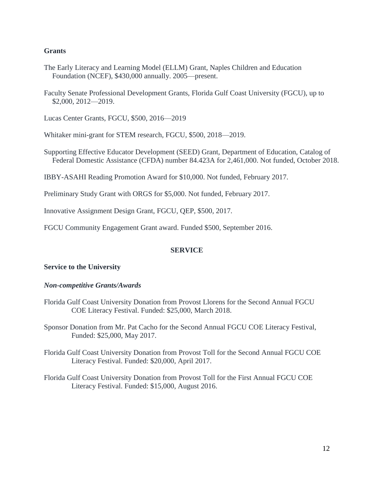## **Grants**

- The Early Literacy and Learning Model (ELLM) Grant, Naples Children and Education Foundation (NCEF), \$430,000 annually. 2005—present.
- Faculty Senate Professional Development Grants, Florida Gulf Coast University (FGCU), up to \$2,000, 2012—2019.

Lucas Center Grants, FGCU, \$500, 2016—2019

- Whitaker mini-grant for STEM research, FGCU, \$500, 2018—2019.
- Supporting Effective Educator Development (SEED) Grant, Department of Education, Catalog of Federal Domestic Assistance (CFDA) number 84.423A for 2,461,000. Not funded, October 2018.

IBBY-ASAHI Reading Promotion Award for \$10,000. Not funded, February 2017.

Preliminary Study Grant with ORGS for \$5,000. Not funded, February 2017.

Innovative Assignment Design Grant, FGCU, QEP, \$500, 2017.

FGCU Community Engagement Grant award. Funded \$500, September 2016.

## **SERVICE**

## **Service to the University**

#### *Non-competitive Grants/Awards*

Florida Gulf Coast University Donation from Provost Llorens for the Second Annual FGCU COE Literacy Festival. Funded: \$25,000, March 2018.

Sponsor Donation from Mr. Pat Cacho for the Second Annual FGCU COE Literacy Festival, Funded: \$25,000, May 2017.

- Florida Gulf Coast University Donation from Provost Toll for the Second Annual FGCU COE Literacy Festival. Funded: \$20,000, April 2017.
- Florida Gulf Coast University Donation from Provost Toll for the First Annual FGCU COE Literacy Festival. Funded: \$15,000, August 2016.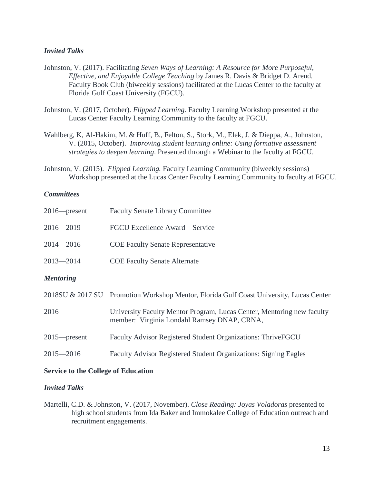## *Invited Talks*

- Johnston, V. (2017). Facilitating *Seven Ways of Learning: A Resource for More Purposeful, Effective, and Enjoyable College Teaching* by James R. Davis & Bridget D. Arend*.*  Faculty Book Club (biweekly sessions) facilitated at the Lucas Center to the faculty at Florida Gulf Coast University (FGCU).
- Johnston, V. (2017, October). *Flipped Learning.* Faculty Learning Workshop presented at the Lucas Center Faculty Learning Community to the faculty at FGCU.
- Wahlberg, K, Al-Hakim, M. & Huff, B., Felton, S., Stork, M., Elek, J. & Dieppa, A., Johnston, V. (2015, October). *Improving student learning online: Using formative assessment strategies to deepen learning*. Presented through a Webinar to the faculty at FGCU.
- Johnston, V. (2015). *Flipped Learning.* Faculty Learning Community (biweekly sessions) Workshop presented at the Lucas Center Faculty Learning Community to faculty at FGCU.

## *Committees*

| $2016$ -present  | <b>Faculty Senate Library Committee</b>                                                                               |
|------------------|-----------------------------------------------------------------------------------------------------------------------|
| $2016 - 2019$    | <b>FGCU Excellence Award—Service</b>                                                                                  |
| $2014 - 2016$    | <b>COE Faculty Senate Representative</b>                                                                              |
| $2013 - 2014$    | <b>COE Faculty Senate Alternate</b>                                                                                   |
| <b>Mentoring</b> |                                                                                                                       |
|                  | 2018SU & 2017 SU Promotion Workshop Mentor, Florida Gulf Coast University, Lucas Center                               |
| 2016             | University Faculty Mentor Program, Lucas Center, Mentoring new faculty<br>member: Virginia Londahl Ramsey DNAP, CRNA, |
| $2015$ -present  | Faculty Advisor Registered Student Organizations: ThriveFGCU                                                          |
| $2015 - 2016$    | Faculty Advisor Registered Student Organizations: Signing Eagles                                                      |
|                  |                                                                                                                       |

## **Service to the College of Education**

## *Invited Talks*

Martelli, C.D. & Johnston, V. (2017, November). *Close Reading: Joyas Voladoras* presented to high school students from Ida Baker and Immokalee College of Education outreach and recruitment engagements.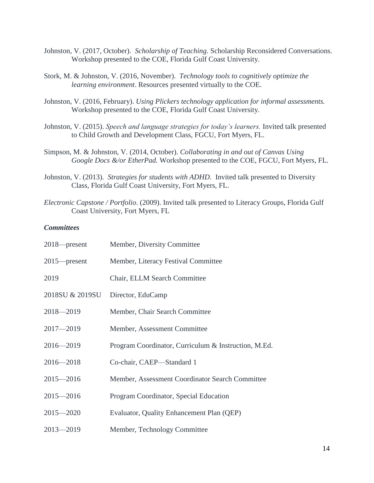- Johnston, V. (2017, October). *Scholarship of Teaching.* Scholarship Reconsidered Conversations. Workshop presented to the COE, Florida Gulf Coast University.
- Stork, M. & Johnston, V. (2016, November). *Technology tools to cognitively optimize the learning environment*. Resources presented virtually to the COE.
- Johnston, V. (2016, February). *Using Plickers technology application for informal assessments.*  Workshop presented to the COE, Florida Gulf Coast University.
- Johnston, V. (2015). *Speech and language strategies for today's learners.* Invited talk presented to Child Growth and Development Class, FGCU, Fort Myers, FL.
- Simpson, M. & Johnston, V. (2014, October). *Collaborating in and out of Canvas Using Google Docs &/or EtherPad.* Workshop presented to the COE, FGCU, Fort Myers, FL.
- Johnston, V. (2013). *Strategies for students with ADHD.* Invited talk presented to Diversity Class, Florida Gulf Coast University, Fort Myers, FL.
- *Electronic Capstone / Portfolio*. (2009). Invited talk presented to Literacy Groups, Florida Gulf Coast University, Fort Myers, FL

## *Committees*

| $2018$ —present | Member, Diversity Committee                          |
|-----------------|------------------------------------------------------|
| $2015$ —present | Member, Literacy Festival Committee                  |
| 2019            | Chair, ELLM Search Committee                         |
| 2018SU & 2019SU | Director, EduCamp                                    |
| $2018 - 2019$   | Member, Chair Search Committee                       |
| $2017 - 2019$   | Member, Assessment Committee                         |
| $2016 - 2019$   | Program Coordinator, Curriculum & Instruction, M.Ed. |
| $2016 - 2018$   | Co-chair, CAEP-Standard 1                            |
| $2015 - 2016$   | Member, Assessment Coordinator Search Committee      |
| $2015 - 2016$   | Program Coordinator, Special Education               |
| $2015 - 2020$   | Evaluator, Quality Enhancement Plan (QEP)            |
| $2013 - 2019$   | Member, Technology Committee                         |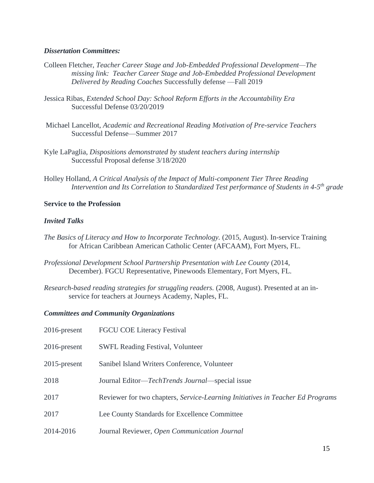### *Dissertation Committees:*

- Colleen Fletcher, *Teacher Career Stage and Job-Embedded Professional Development—The missing link: Teacher Career Stage and Job-Embedded Professional Development Delivered by Reading Coaches* Successfully defense —Fall 2019
- Jessica Ribas, *Extended School Day: School Reform Efforts in the Accountability Era* Successful Defense 03/20/2019
- Michael Lancellot, *Academic and Recreational Reading Motivation of Pre-service Teachers* Successful Defense—Summer 2017
- Kyle LaPaglia, *Dispositions demonstrated by student teachers during internship*  Successful Proposal defense 3/18/2020
- Holley Holland, *A Critical Analysis of the Impact of Multi-component Tier Three Reading Intervention and Its Correlation to Standardized Test performance of Students in 4-5 th grade*

## **Service to the Profession**

## *Invited Talks*

- *The Basics of Literacy and How to Incorporate Technology.* (2015, August). In-service Training for African Caribbean American Catholic Center (AFCAAM), Fort Myers, FL.
- *Professional Development School Partnership Presentation with Lee County* (2014, December). FGCU Representative, Pinewoods Elementary, Fort Myers, FL.
- *Research-based reading strategies for struggling readers.* (2008, August). Presented at an inservice for teachers at Journeys Academy, Naples, FL.

## *Committees and Community Organizations*

| $2016$ -present | <b>FGCU COE Literacy Festival</b>                                              |
|-----------------|--------------------------------------------------------------------------------|
| $2016$ -present | <b>SWFL Reading Festival, Volunteer</b>                                        |
| $2015$ -present | Sanibel Island Writers Conference, Volunteer                                   |
| 2018            | Journal Editor— <i>TechTrends Journal</i> —special issue                       |
| 2017            | Reviewer for two chapters, Service-Learning Initiatives in Teacher Ed Programs |
| 2017            | Lee County Standards for Excellence Committee                                  |
| 2014-2016       | Journal Reviewer, Open Communication Journal                                   |